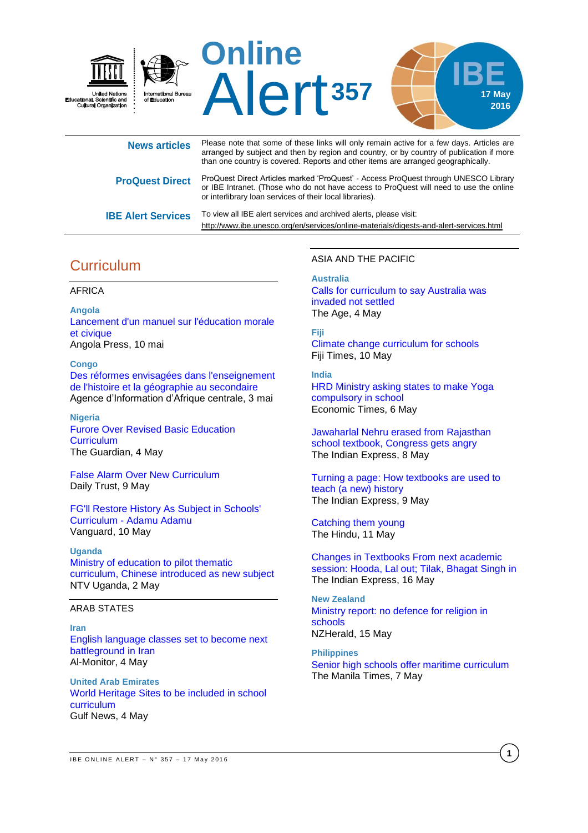

| <b>News articles</b>      | Please note that some of these links will only remain active for a few days. Articles are<br>arranged by subject and then by region and country, or by country of publication if more<br>than one country is covered. Reports and other items are arranged geographically. |
|---------------------------|----------------------------------------------------------------------------------------------------------------------------------------------------------------------------------------------------------------------------------------------------------------------------|
| <b>ProQuest Direct</b>    | ProQuest Direct Articles marked 'ProQuest' - Access ProQuest through UNESCO Library<br>or IBE Intranet. (Those who do not have access to ProQuest will need to use the online<br>or interlibrary loan services of their local libraries).                                  |
| <b>IBE Alert Services</b> | To view all IBE alert services and archived alerts, please visit:<br>http://www.ibe.unesco.org/en/services/online-materials/digests-and-alert-services.html                                                                                                                |

# **Curriculum**

### AFRICA

**Angola** [Lancement d'un manuel sur l'éducation morale](http://fr.allafrica.com/stories/201605101373.html)  [et civique](http://fr.allafrica.com/stories/201605101373.html) Angola Press, 10 mai

**Congo** [Des réformes envisagées dans l'enseignement](http://fr.allafrica.com/stories/201605040735.html)  [de l'histoire et la géographie au secondaire](http://fr.allafrica.com/stories/201605040735.html) Agence d'Information d'Afrique centrale, 3 mai

**Nigeria** [Furore Over Revised Basic Education](http://allafrica.com/stories/201605040466.html)  **[Curriculum](http://allafrica.com/stories/201605040466.html)** The Guardian, 4 May

[False Alarm Over New Curriculum](http://allafrica.com/stories/201605091076.html) Daily Trust, 9 May

[FG'll Restore History As Subject in Schools'](http://allafrica.com/stories/201605110151.html)  Curriculum - [Adamu Adamu](http://allafrica.com/stories/201605110151.html) Vanguard, 10 May

**Uganda**

[Ministry of education to pilot thematic](http://www.ntv.co.ug/news/local/02/may/2016/ministry-education-pilot-thematic-curriculum-chinese-introduced-new-subject#sthash.SBWiRuK0.dpbs)  [curriculum, Chinese introduced as new subject](http://www.ntv.co.ug/news/local/02/may/2016/ministry-education-pilot-thematic-curriculum-chinese-introduced-new-subject#sthash.SBWiRuK0.dpbs) NTV Uganda, 2 May

## ARAB STATES

**Iran** [English language classes set to become next](http://www.al-monitor.com/pulse/originals/2016/05/rouhani-khamenei-english-language-classes-west.html)  [battleground in Iran](http://www.al-monitor.com/pulse/originals/2016/05/rouhani-khamenei-english-language-classes-west.html) Al-Monitor, 4 May

**United Arab Emirates** [World Heritage Sites to be included in school](http://gulfnews.com/news/uae/culture/world-heritage-sites-to-be-included-in-school-curriculum-1.1818912)  [curriculum](http://gulfnews.com/news/uae/culture/world-heritage-sites-to-be-included-in-school-curriculum-1.1818912) Gulf News, 4 May

### ASIA AND THE PACIFIC

**Australia**

[Calls for curriculum to say Australia was](http://www.theage.com.au/victoria/calls-for-curriculum-to-say-australia-was-invaded-not-settled-20160504-gom7dy.html)  [invaded not settled](http://www.theage.com.au/victoria/calls-for-curriculum-to-say-australia-was-invaded-not-settled-20160504-gom7dy.html) The Age, 4 May

### **Fiji**

[Climate change curriculum for schools](http://www.fijitimes.com/story.aspx?id=353148) Fiji Times, 10 May

**India** [HRD Ministry asking states to make Yoga](http://economictimes.indiatimes.com/news/politics-and-nation/hrd-ministry-asking-states-to-make-yoga-compulsory-in-school/articleshow/52154067.cms)  [compulsory in school](http://economictimes.indiatimes.com/news/politics-and-nation/hrd-ministry-asking-states-to-make-yoga-compulsory-in-school/articleshow/52154067.cms) Economic Times, 6 May

[Jawaharlal Nehru erased from Rajasthan](http://indianexpress.com/article/india/india-news-india/jawaharlal-nehru-erased-from-rajasthan-school-textbook-2789754/)  [school textbook, Congress gets](http://indianexpress.com/article/india/india-news-india/jawaharlal-nehru-erased-from-rajasthan-school-textbook-2789754/) angry The Indian Express, 8 May

[Turning a page: How textbooks are used to](http://indianexpress.com/article/india/india-news-india/school-textbooks-rajasthan-jawaharlal-nehru-changes-in-books-school-curriculum-2790373/)  [teach \(a new\) history](http://indianexpress.com/article/india/india-news-india/school-textbooks-rajasthan-jawaharlal-nehru-changes-in-books-school-curriculum-2790373/) The Indian Express, 9 May

[Catching them young](http://www.thehindu.com/todays-paper/tp-in-school/catching-them-young/article8581847.ece) The Hindu, 11 May

[Changes in Textbooks From next academic](http://indianexpress.com/article/india/india-news-india/changes-in-textbooks-from-next-academic-session-hooda-lal-out-tilak-bhagat-singh-in-2802832/)  [session: Hooda, Lal out; Tilak, Bhagat Singh](http://indianexpress.com/article/india/india-news-india/changes-in-textbooks-from-next-academic-session-hooda-lal-out-tilak-bhagat-singh-in-2802832/) in The Indian Express, 16 May

**New Zealand** [Ministry report: no defence for religion in](http://www.nzherald.co.nz/education/news/article.cfm?c_id=35&objectid=11639331)  [schools](http://www.nzherald.co.nz/education/news/article.cfm?c_id=35&objectid=11639331) NZHerald, 15 May

**Philippines** [Senior high schools offer maritime curriculum](http://www.manilatimes.net/senior-high-schools-offer-maritime-curriculum/260710/) The Manila Times, 7 May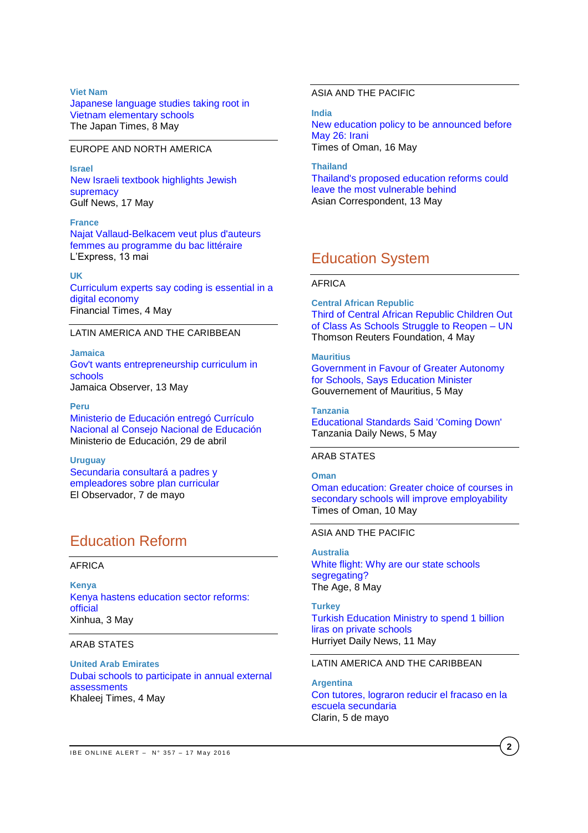## **Viet Nam** [Japanese language studies taking root in](http://www.japantimes.co.jp/news/2016/05/08/national/japanese-language-studies-taking-root-vietnam-elementary-schools/#.VzBqp4SLSUk)  [Vietnam elementary schools](http://www.japantimes.co.jp/news/2016/05/08/national/japanese-language-studies-taking-root-vietnam-elementary-schools/#.VzBqp4SLSUk) The Japan Times, 8 May

### EUROPE AND NORTH AMERICA

**Israel** [New Israeli textbook highlights Jewish](http://gulfnews.com/news/mena/palestine/new-israeli-textbook-highlights-jewish-supremacy-1.1826411)  [supremacy](http://gulfnews.com/news/mena/palestine/new-israeli-textbook-highlights-jewish-supremacy-1.1826411) Gulf News, 17 May

**France** [Najat Vallaud-Belkacem veut plus d'auteurs](http://www.lexpress.fr/education/najat-vallaud-belkacem-veut-plus-d-auteurs-femmes-au-programme-du-bac-litteraire_1791987.html)  [femmes au programme du](http://www.lexpress.fr/education/najat-vallaud-belkacem-veut-plus-d-auteurs-femmes-au-programme-du-bac-litteraire_1791987.html) bac littéraire L'Express, 13 mai

#### **UK**

[Curriculum experts say coding is essential in a](http://www.ft.com/cms/s/2/c84b9704-f744-11e5-96db-fc683b5e52db.html#axzz489GN3U00)  [digital economy](http://www.ft.com/cms/s/2/c84b9704-f744-11e5-96db-fc683b5e52db.html#axzz489GN3U00) Financial Times, 4 May

## LATIN AMERICA AND THE CARIBBEAN

**Jamaica** [Gov't wants entrepreneurship curriculum in](http://www.jamaicaobserver.com/news/Gov-t-wants-entrepreneurship-curriculum-in-schools)  [schools](http://www.jamaicaobserver.com/news/Gov-t-wants-entrepreneurship-curriculum-in-schools) Jamaica Observer, 13 May

**Peru** [Ministerio de Educación entregó Currículo](http://www.minedu.gob.pe/n/noticia.php?id=37798)  [Nacional al Consejo Nacional de Educación](http://www.minedu.gob.pe/n/noticia.php?id=37798) Ministerio de Educación, 29 de abril

**Uruguay** [Secundaria consultará a padres y](http://www.elobservador.com.uy/secundaria-consultara-padres-y-empleadores-plan-curricular-n877921)  [empleadores sobre plan curricular](http://www.elobservador.com.uy/secundaria-consultara-padres-y-empleadores-plan-curricular-n877921) El Observador, 7 de mayo

# Education Reform

#### AFRICA

**Kenya** [Kenya hastens education sector reforms:](http://news.xinhuanet.com/english/2016-05/03/c_135331841.htm)  [official](http://news.xinhuanet.com/english/2016-05/03/c_135331841.htm) Xinhua, 3 May

## ARAB STATES

**United Arab Emirates** [Dubai schools to participate in annual external](http://www.khaleejtimes.com/nation/education/schools-to-participate-in-external-assessments-annually)  [assessments](http://www.khaleejtimes.com/nation/education/schools-to-participate-in-external-assessments-annually) Khaleej Times, 4 May

## ASIA AND THE PACIFIC

**India** [New education policy to be announced before](http://timesofoman.com/article/83927/World/India/Irani-said-under-the-new-education-policy-NCERT-will-address-all-those-challenges-facing-the-educati)  [May 26: Irani](http://timesofoman.com/article/83927/World/India/Irani-said-under-the-new-education-policy-NCERT-will-address-all-those-challenges-facing-the-educati) Times of Oman, 16 May

**Thailand** [Thailand's proposed education reforms could](https://asiancorrespondent.com/2016/05/thailand-education-reform/)  [leave the most vulnerable behind](https://asiancorrespondent.com/2016/05/thailand-education-reform/) Asian Correspondent, 13 May

## Education System

#### AFRICA

**Central African Republic** [Third of Central African Republic Children Out](http://allafrica.com/stories/201605050558.html)  [of Class As Schools Struggle to Reopen –](http://allafrica.com/stories/201605050558.html) UN Thomson Reuters Foundation, 4 May

### **Mauritius** [Government in Favour of Greater Autonomy](http://allafrica.com/stories/201605060624.html)  [for Schools, Says Education Minister](http://allafrica.com/stories/201605060624.html) Gouvernement of Mauritius, 5 May

**Tanzania** [Educational Standards Said 'Coming Down'](http://allafrica.com/stories/201605050773.html) Tanzania Daily News, 5 May

### ARAB STATES

#### **Oma[n](http://www.timesofoman.com/morearticles/Oman/Education)**

[Oman education: Greater choice of courses in](http://timesofoman.com/article/83484/Oman/Education/Oman-education:-Greater-choice-of-courses-in-secondary-schools-will-improve-employability-says-study)  [secondary schools will improve employability](http://timesofoman.com/article/83484/Oman/Education/Oman-education:-Greater-choice-of-courses-in-secondary-schools-will-improve-employability-says-study) Times of Oman, 10 May

#### ASIA AND THE PACIFIC

**Australia** [White flight: Why are our state schools](http://www.theage.com.au/victoria/white-flight-why-are-our-state-schools-segregating-20160503-gokutm.html)  [segregating?](http://www.theage.com.au/victoria/white-flight-why-are-our-state-schools-segregating-20160503-gokutm.html) The Age, 8 May

**Turkey** [Turkish Education Ministry to](http://www.hurriyetdailynews.com/turkish-education-ministry-to-spend-1-billion-liras-on-private-schools.aspx?pageID=238&nID=99033&NewsCatID=341) spend 1 billion [liras on private schools](http://www.hurriyetdailynews.com/turkish-education-ministry-to-spend-1-billion-liras-on-private-schools.aspx?pageID=238&nID=99033&NewsCatID=341) Hurriyet Daily News, 11 May

## LATIN AMERICA AND THE CARIBBEAN

**Argentina** [Con tutores, lograron reducir el fracaso en la](http://www.clarin.com/sociedad/tutores-lograron-reducir-escuela-secundaria_0_1570643141.html)  [escuela secundaria](http://www.clarin.com/sociedad/tutores-lograron-reducir-escuela-secundaria_0_1570643141.html) Clarin, 5 de mayo

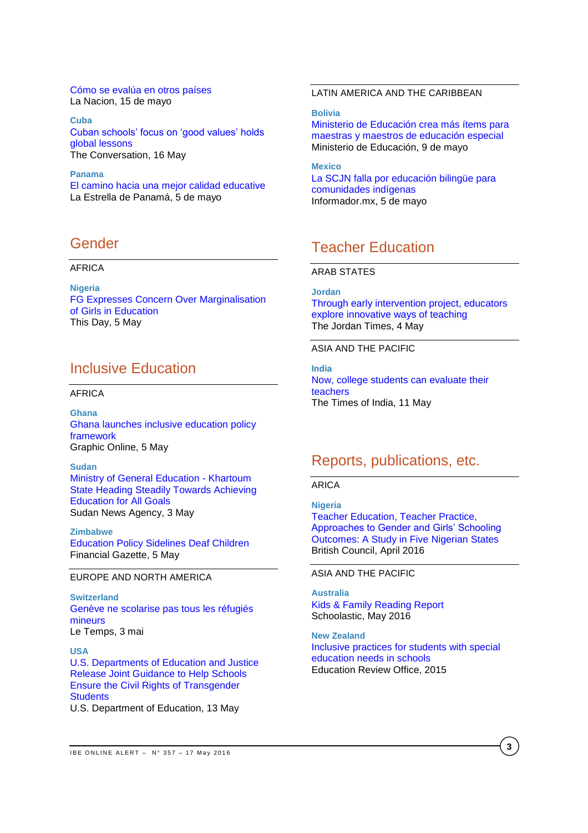[Cómo se evalúa en otros países](http://www.lanacion.com.ar/1898895-como-se-evalua-en-otros-paises) La Nacion, 15 de mayo

**Cuba** [Cuban schools' focus on 'good values' holds](http://theconversation.com/cuban-schools-focus-on-good-values-holds-global-lessons-58896)  global [lessons](http://theconversation.com/cuban-schools-focus-on-good-values-holds-global-lessons-58896) The Conversation, 16 May

**Panama** [El camino hacia una mejor calidad educative](http://laestrella.com.pa/panama/nacional/camino-hacia-mejor-calidad-educativa/23938150) La Estrella de Panamá, 5 de mayo

## Gender

### AFRICA

**Nigeria** [FG Expresses Concern Over Marginalisation](http://allafrica.com/stories/201605060514.html)  [of Girls in Education](http://allafrica.com/stories/201605060514.html) This Day, 5 May

## Inclusive Education

## AFRICA

**Ghana** [Ghana launches inclusive education policy](http://www.graphic.com.gh/news/education/63362-ghana-launches-inclusive-education-policy-framework.html)  [framework](http://www.graphic.com.gh/news/education/63362-ghana-launches-inclusive-education-policy-framework.html) Graphic Online, 5 May

**Sudan** [Ministry of General Education -](http://allafrica.com/stories/201605040420.html) Khartoum [State Heading Steadily Towards Achieving](http://allafrica.com/stories/201605040420.html)  [Education for All Goals](http://allafrica.com/stories/201605040420.html) Sudan News Agency, 3 May

**Zimbabwe** [Education Policy Sidelines Deaf Children](http://allafrica.com/stories/201605050481.html) Financial Gazette, 5 May

## EUROPE AND NORTH AMERICA

**Switzerland** [Genève ne scolarise pas tous les réfugiés](http://www.letemps.ch/suisse/2016/05/03/geneve-ne-scolarise-refugies-mineurs)  [mineurs](http://www.letemps.ch/suisse/2016/05/03/geneve-ne-scolarise-refugies-mineurs) Le Temps, 3 mai

**USA** [U.S. Departments of Education and Justice](http://www.ed.gov/news/press-releases/us-departments-education-and-justice-release-joint-guidance-help-schools-ensure-civil-rights-transgender-students)  [Release Joint Guidance to Help Schools](http://www.ed.gov/news/press-releases/us-departments-education-and-justice-release-joint-guidance-help-schools-ensure-civil-rights-transgender-students)  [Ensure the Civil Rights of Transgender](http://www.ed.gov/news/press-releases/us-departments-education-and-justice-release-joint-guidance-help-schools-ensure-civil-rights-transgender-students)  **[Students](http://www.ed.gov/news/press-releases/us-departments-education-and-justice-release-joint-guidance-help-schools-ensure-civil-rights-transgender-students)** U.S. Department of Education, 13 May

## LATIN AMERICA AND THE CARIBBEAN

**Bolivia**

[Ministerio de Educación crea más ítems para](http://www.minedu.gob.bo/index.php/prensa/noticias-recientes/3-noticias-recientes/3537-ministerio-de-educacion-crea-mas-items-para-maestras-y-maestros-de-educacion-especial)  [maestras y maestros de educación especial](http://www.minedu.gob.bo/index.php/prensa/noticias-recientes/3-noticias-recientes/3537-ministerio-de-educacion-crea-mas-items-para-maestras-y-maestros-de-educacion-especial) Ministerio de Educación, 9 de mayo

**Mexico** [La SCJN falla por educación bilingüe para](http://www.informador.com.mx/mexico/2016/659562/6/la-scjn-falla-por-educacion-bilingue-para-comunidades-indigenas.htm)  [comunidades indígenas](http://www.informador.com.mx/mexico/2016/659562/6/la-scjn-falla-por-educacion-bilingue-para-comunidades-indigenas.htm) Informador.mx, 5 de mayo

## Teacher Education

### ARAB STATES

**Jordan** [Through early intervention project, educators](http://www.jordantimes.com/news/local/through-early-intervention-project-educators-explore-innovative-ways-teaching)  [explore innovative ways of teaching](http://www.jordantimes.com/news/local/through-early-intervention-project-educators-explore-innovative-ways-teaching) The Jordan Times, 4 May

ASIA AND THE PACIFIC

**India** [Now, college students can evaluate their](http://timesofindia.indiatimes.com/home/education/news/Now-college-students-can-evaluate-their-teachers/articleshow/52226069.cms)  [teachers](http://timesofindia.indiatimes.com/home/education/news/Now-college-students-can-evaluate-their-teachers/articleshow/52226069.cms) The Times of India, 11 May

## Reports, publications, etc.

## ARICA

**Nigeria** [Teacher Education, Teacher Practice,](https://www.britishcouncil.org.ng/sites/default/files/macarthur_teacher_education_briefing_note_1_0.pdf)  [Approaches to Gender and Girls' Schooling](https://www.britishcouncil.org.ng/sites/default/files/macarthur_teacher_education_briefing_note_1_0.pdf)  [Outcomes: A Study in Five Nigerian States](https://www.britishcouncil.org.ng/sites/default/files/macarthur_teacher_education_briefing_note_1_0.pdf) British Council, April 2016

ASIA AND THE PACIFIC

**Australia** [Kids & Family Reading Report](http://www.scholastic.com.au/schools/ReadingLeaders/KFRR/assets/pdf/KFRR_AUS.pdf) Schoolastic, May 2016

**New Zealand** [Inclusive practices for students with special](http://www.ero.govt.nz/publications/inclusive-practices-for-students-with-special-education-needs-in-schools/)  [education needs in schools](http://www.ero.govt.nz/publications/inclusive-practices-for-students-with-special-education-needs-in-schools/) Education Review Office, 2015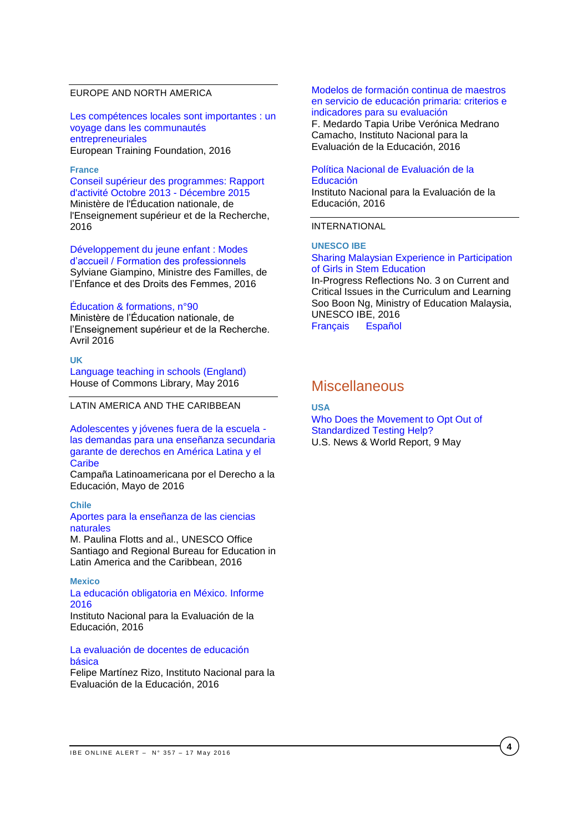## EUROPE AND NORTH AMERICA

[Les compétences locales sont importantes : un](http://www.etf.europa.eu/webatt.nsf/0/6ACB28624EDA89EEC1257F73005350C4/$file/Local%20skills%20matter_FR.pdf)  [voyage dans les communautés](http://www.etf.europa.eu/webatt.nsf/0/6ACB28624EDA89EEC1257F73005350C4/$file/Local%20skills%20matter_FR.pdf)  [entrepreneuriales](http://www.etf.europa.eu/webatt.nsf/0/6ACB28624EDA89EEC1257F73005350C4/$file/Local%20skills%20matter_FR.pdf) European Training Foundation, 2016

## **France**

[Conseil supérieur des programmes: Rapport](http://www.ladocumentationfrancaise.fr/var/storage/rapports-publics/164000266.pdf)  [d'activité Octobre 2013 -](http://www.ladocumentationfrancaise.fr/var/storage/rapports-publics/164000266.pdf) Décembre 2015 Ministère de l'Éducation nationale, de l'Enseignement supérieur et de la Recherche, 2016

[Développement du jeune enfant : Modes](http://www.ladocumentationfrancaise.fr/rapports-publics/164000279/)  [d'accueil / Formation des professionnels](http://www.ladocumentationfrancaise.fr/rapports-publics/164000279/) Sylviane Giampino, Ministre des Familles, de l'Enfance et des Droits des Femmes, 2016

#### [Éducation & formations, n°90](http://cache.media.education.gouv.fr/file/revue_90/54/2/depp-2016-EF-90_562542.pdf)

Ministère de l'Éducation nationale, de l'Enseignement supérieur et de la Recherche. Avril 2016

#### **UK**

[Language teaching in schools \(England\)](http://researchbriefings.parliament.uk/ResearchBriefing/Summary/CBP-7388#fullreport) House of Commons Library, May 2016

LATIN AMERICA AND THE CARIBBEAN

[Adolescentes y jóvenes fuera de la escuela](http://www.campanaderechoeducacion.org/v2/es/publicaciones/clade/publicaciones-tematicas.html?download=342%3Aadolescentes-y-jovenes-fuera-de-la-escuela-las-demandas-para-una-ensenanza-secundaria-garante-de-derechos-en-america-latina-y-el-caribe)  [las demandas para una enseñanza secundaria](http://www.campanaderechoeducacion.org/v2/es/publicaciones/clade/publicaciones-tematicas.html?download=342%3Aadolescentes-y-jovenes-fuera-de-la-escuela-las-demandas-para-una-ensenanza-secundaria-garante-de-derechos-en-america-latina-y-el-caribe)  [garante de derechos en América Latina y el](http://www.campanaderechoeducacion.org/v2/es/publicaciones/clade/publicaciones-tematicas.html?download=342%3Aadolescentes-y-jovenes-fuera-de-la-escuela-las-demandas-para-una-ensenanza-secundaria-garante-de-derechos-en-america-latina-y-el-caribe)  **[Caribe](http://www.campanaderechoeducacion.org/v2/es/publicaciones/clade/publicaciones-tematicas.html?download=342%3Aadolescentes-y-jovenes-fuera-de-la-escuela-las-demandas-para-una-ensenanza-secundaria-garante-de-derechos-en-america-latina-y-el-caribe)** 

Campaña Latinoamericana por el Derecho a la Educación, Mayo de 2016

#### **Chile** [Aportes para la enseñanza de las ciencias](http://unesdoc.unesco.org/images/0024/002447/244733s.pdf)  [naturales](http://unesdoc.unesco.org/images/0024/002447/244733s.pdf)

M. Paulina Flotts and al., UNESCO Office Santiago and Regional Bureau for Education in Latin America and the Caribbean, 2016

### **Mexico**

### [La educación obligatoria en México. Informe](http://publicaciones.inee.edu.mx/buscadorPub/P1/I/241/P1I241.pdf)  [2016](http://publicaciones.inee.edu.mx/buscadorPub/P1/I/241/P1I241.pdf)

Instituto Nacional para la Evaluación de la Educación, 2016

## [La evaluación de docentes de educación](http://www.inee.edu.mx/images/stories/2016/publicaciones/EvaluacionDocentesEB.pdf)  [básica](http://www.inee.edu.mx/images/stories/2016/publicaciones/EvaluacionDocentesEB.pdf)

Felipe Martínez Rizo, Instituto Nacional para la Evaluación de la Educación, 2016

#### [Modelos de formación continua de maestros](http://www.inee.edu.mx/images/stories/2016/publicaciones/ModelosFC250416.pdf)  [en servicio de educación primaria: criterios e](http://www.inee.edu.mx/images/stories/2016/publicaciones/ModelosFC250416.pdf)  [indicadores para su evaluación](http://www.inee.edu.mx/images/stories/2016/publicaciones/ModelosFC250416.pdf)

F. Medardo Tapia Uribe Verónica Medrano Camacho, Instituto Nacional para la Evaluación de la Educación, 2016

#### [Política Nacional de Evaluación de la](http://publicaciones.inee.edu.mx/buscadorPub/P1/E/302/P1E302.pdf)  [Educación](http://publicaciones.inee.edu.mx/buscadorPub/P1/E/302/P1E302.pdf)

Instituto Nacional para la Evaluación de la Educación, 2016

#### INTERNATIONAL

**UNESCO IBE**

#### [Sharing Malaysian Experience in Participation](http://www.ibe.unesco.org/sites/default/files/resources/ipr3-boon-ng-stemgirlmalaysia_eng.pdf)  [of Girls in Stem Education](http://www.ibe.unesco.org/sites/default/files/resources/ipr3-boon-ng-stemgirlmalaysia_eng.pdf)

In-Progress Reflections No. 3 on Current and Critical Issues in the Curriculum and Learning Soo Boon Ng, Ministry of Education Malaysia, UNESCO IBE, 2016 [Français](http://www.ibe.unesco.org/sites/default/files/resources/ipr3-boon-ng-stemgirlmalaysia_fre.pdf) [Español](http://www.ibe.unesco.org/sites/default/files/resources/ipr3-boon-ng-stemgirlmalaysia_spa.pdf)

## **Miscellaneous**

## **USA**

[Who Does the Movement to Opt Out of](http://www.usnews.com/opinion/articles/2016-05-09/who-does-the-movement-to-opt-out-of-standardized-testing-help)  [Standardized Testing Help?](http://www.usnews.com/opinion/articles/2016-05-09/who-does-the-movement-to-opt-out-of-standardized-testing-help) U.S. News & World Report, 9 May